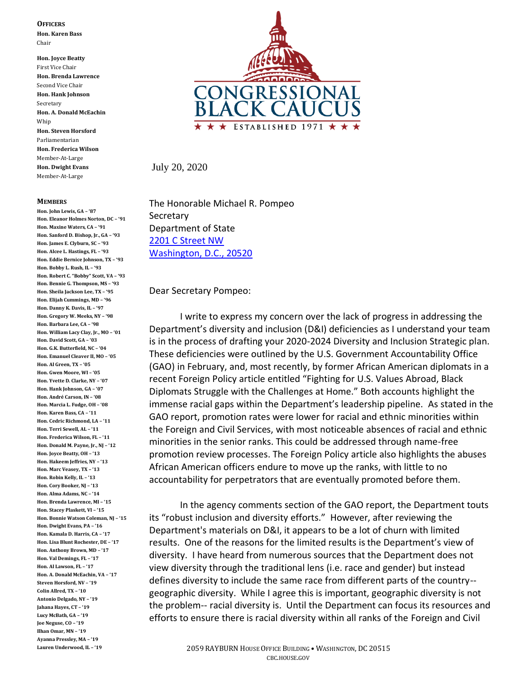**OFFICERS**

**Hon. Karen Bass** Chair

**Hon. Joyce Beatty** First Vice Chair **Hon. Brenda Lawrence** Second Vice Chair **Hon. Hank Johnson** Secretary **Hon. A. Donald McEachin** Whip **Hon. Steven Horsford** Parliamentarian **Hon. Frederica Wilson** Member-At-Large **Hon. Dwight Evans** Member-At-Large

## **MEMBERS**

**Hon. John Lewis, GA – '87 Hon. Eleanor Holmes Norton, DC – '91 Hon. Maxine Waters, CA – '91 Hon. Sanford D. Bishop, Jr., GA – '93 Hon. James E. Clyburn, SC – '93 Hon. Alcee L. Hastings, FL – '93 Hon. Eddie Bernice Johnson, TX – '93 Hon. Bobby L. Rush, IL – '93 Hon. Robert C. "Bobby" Scott, VA – '93 Hon. Bennie G. Thompson, MS – '93 Hon. Sheila Jackson Lee, TX – '95 Hon. Elijah Cummings, MD – '96 Hon. Danny K. Davis, IL – '97 Hon. Gregory W. Meeks, NY – '98 Hon. Barbara Lee, CA – '98 Hon. William Lacy Clay, Jr., MO – '01 Hon. David Scott, GA – '03 Hon. G.K. Butterfield, NC – '04 Hon. Emanuel Cleaver II, MO – '05 Hon. Al Green, TX – '05 Hon. Gwen Moore, WI – '05 Hon. Yvette D. Clarke, NY – '07 Hon. Hank Johnson, GA – '07 Hon. André Carson, IN – '08 Hon. Marcia L. Fudge, OH – '08 Hon. Karen Bass, CA – '11 Hon. Cedric Richmond, LA – '11 Hon. Terri Sewell, AL – '11 Hon. Frederica Wilson, FL – '11 Hon. Donald M. Payne, Jr., NJ – '12 Hon. Joyce Beatty, OH – '13 Hon. Hakeem Jeffries, NY – '13 Hon. Marc Veasey, TX – '13 Hon. Robin Kelly, IL – '13 Hon. Cory Booker, NJ – '13 Hon. Alma Adams, NC – '14 Hon. Brenda Lawrence, MI – '15 Hon. Stacey Plaskett, VI – '15 Hon. Bonnie Watson Coleman, NJ – '15 Hon. Dwight Evans, PA – '16 Hon. Kamala D. Harris, CA – '17 Hon. Lisa Blunt Rochester, DE – '17 Hon. Anthony Brown, MD – '17 Hon. Val Demings, FL – '17 Hon. Al Lawson, FL – '17 Hon. A. Donald McEachin, VA – '17 Steven Horsford, NV – '19 Colin Allred, TX – '10 Antonio Delgado, NY – '19 Jahana Hayes, CT – '19 Lucy McBath, GA – '19 Joe Neguse, CO – '19 Ilhan Omar, MN – '19 Ayanna Pressley, MA – '19 Lauren Underwood, IL – '19**



July 20, 2020

The Honorable Michael R. Pompeo Secretary Department of State [2201 C Street NW](x-apple-data-detectors://1/) [Washington, D.C., 20520](x-apple-data-detectors://1/)

Dear Secretary Pompeo:

I write to express my concern over the lack of progress in addressing the Department's diversity and inclusion (D&I) deficiencies as I understand your team is in the process of drafting your 2020-2024 Diversity and Inclusion Strategic plan. These deficiencies were outlined by the U.S. Government Accountability Office (GAO) in February, and, most recently, by former African American diplomats in a recent Foreign Policy article entitled "Fighting for U.S. Values Abroad, Black Diplomats Struggle with the Challenges at Home." Both accounts highlight the immense racial gaps within the Department's leadership pipeline. As stated in the GAO report, promotion rates were lower for racial and ethnic minorities within the Foreign and Civil Services, with most noticeable absences of racial and ethnic minorities in the senior ranks. This could be addressed through name-free promotion review processes. The Foreign Policy article also highlights the abuses African American officers endure to move up the ranks, with little to no accountability for perpetrators that are eventually promoted before them.

In the agency comments section of the GAO report, the Department touts its "robust inclusion and diversity efforts." However, after reviewing the Department's materials on D&I, it appears to be a lot of churn with limited results. One of the reasons for the limited results is the Department's view of diversity. I have heard from numerous sources that the Department does not view diversity through the traditional lens (i.e. race and gender) but instead defines diversity to include the same race from different parts of the country- geographic diversity. While I agree this is important, geographic diversity is not the problem-- racial diversity is. Until the Department can focus its resources and efforts to ensure there is racial diversity within all ranks of the Foreign and Civil